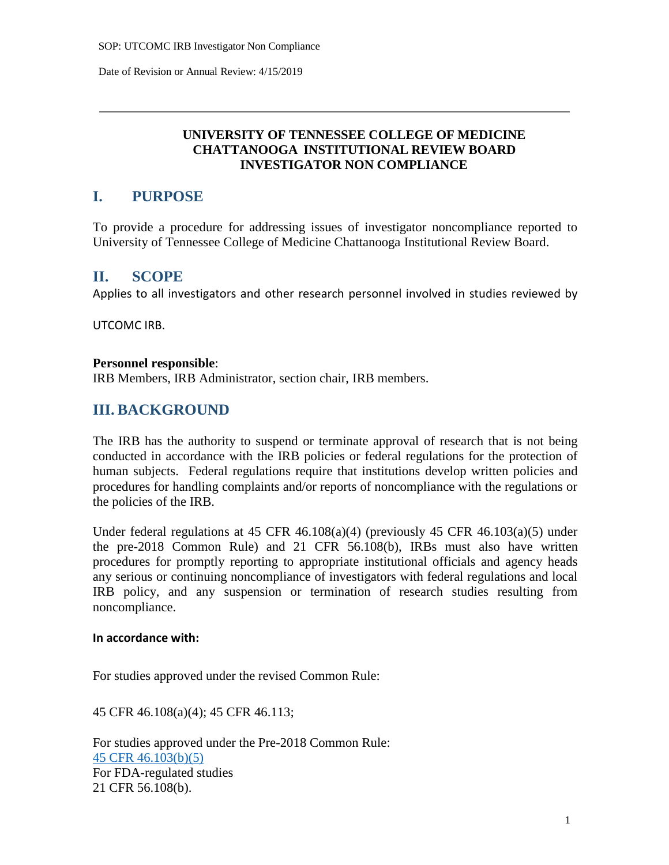## **UNIVERSITY OF TENNESSEE COLLEGE OF MEDICINE CHATTANOOGA INSTITUTIONAL REVIEW BOARD INVESTIGATOR NON COMPLIANCE**

# **I. PURPOSE**

To provide a procedure for addressing issues of investigator noncompliance reported to University of Tennessee College of Medicine Chattanooga Institutional Review Board.

## **II. SCOPE**

Applies to all investigators and other research personnel involved in studies reviewed by

UTCOMC IRB.

#### **Personnel responsible**:

IRB Members, IRB Administrator, section chair, IRB members.

## **III. BACKGROUND**

The IRB has the authority to suspend or terminate approval of research that is not being conducted in accordance with the IRB policies or federal regulations for the protection of human subjects. Federal regulations require that institutions develop written policies and procedures for handling complaints and/or reports of noncompliance with the regulations or the policies of the IRB.

Under federal regulations at 45 CFR 46.108(a)(4) (previously 45 CFR 46.103(a)(5) under the pre-2018 Common Rule) and 21 CFR 56.108(b), IRBs must also have written procedures for promptly reporting to appropriate institutional officials and agency heads any serious or continuing noncompliance of investigators with federal regulations and local IRB policy, and any suspension or termination of research studies resulting from noncompliance.

#### **In accordance with:**

For studies approved under the revised Common Rule:

45 CFR 46.108(a)(4); 45 CFR 46.113;

For studies approved under the Pre-2018 Common Rule: [45 CFR 46.103\(b\)\(5\)](https://www.gpo.gov/fdsys/pkg/CFR-2016-title45-vol1/pdf/CFR-2016-title45-vol1-part46.pdf) For FDA-regulated studies 21 CFR 56.108(b).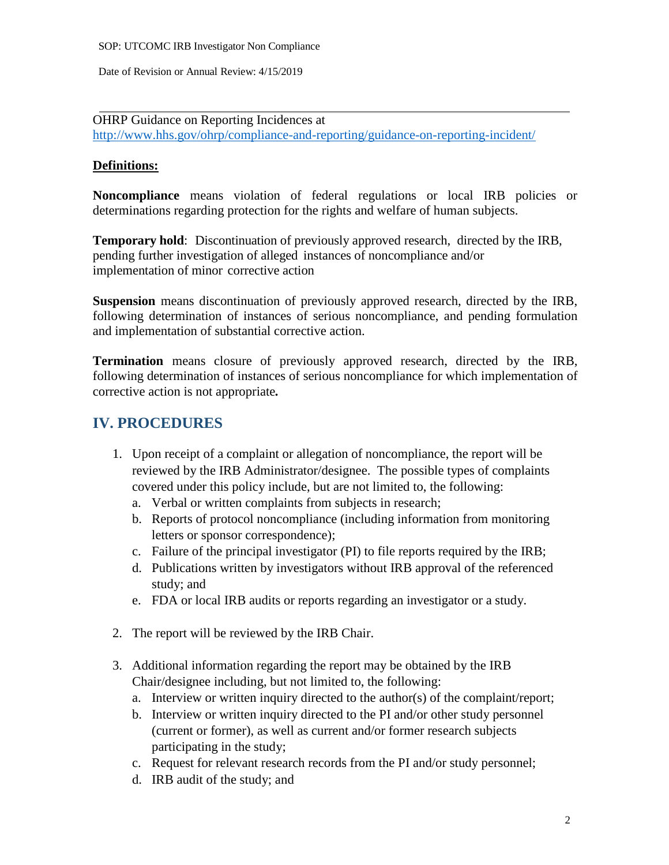### OHRP Guidance on Reporting Incidences at <http://www.hhs.gov/ohrp/compliance-and-reporting/guidance-on-reporting-incident/>

### **Definitions:**

**Noncompliance** means violation of federal regulations or local IRB policies or determinations regarding protection for the rights and welfare of human subjects.

**Temporary hold**: Discontinuation of previously approved research, directed by the IRB, pending further investigation of alleged instances of noncompliance and/or implementation of minor corrective action

**Suspension** means discontinuation of previously approved research, directed by the IRB, following determination of instances of serious noncompliance, and pending formulation and implementation of substantial corrective action.

**Termination** means closure of previously approved research, directed by the IRB, following determination of instances of serious noncompliance for which implementation of corrective action is not appropriate*.*

# **IV. PROCEDURES**

- 1. Upon receipt of a complaint or allegation of noncompliance, the report will be reviewed by the IRB Administrator/designee. The possible types of complaints covered under this policy include, but are not limited to, the following:
	- a. Verbal or written complaints from subjects in research;
	- b. Reports of protocol noncompliance (including information from monitoring letters or sponsor correspondence);
	- c. Failure of the principal investigator (PI) to file reports required by the IRB;
	- d. Publications written by investigators without IRB approval of the referenced study; and
	- e. FDA or local IRB audits or reports regarding an investigator or a study.
- 2. The report will be reviewed by the IRB Chair.
- 3. Additional information regarding the report may be obtained by the IRB Chair/designee including, but not limited to, the following:
	- a. Interview or written inquiry directed to the author(s) of the complaint/report;
	- b. Interview or written inquiry directed to the PI and/or other study personnel (current or former), as well as current and/or former research subjects participating in the study;
	- c. Request for relevant research records from the PI and/or study personnel;
	- d. IRB audit of the study; and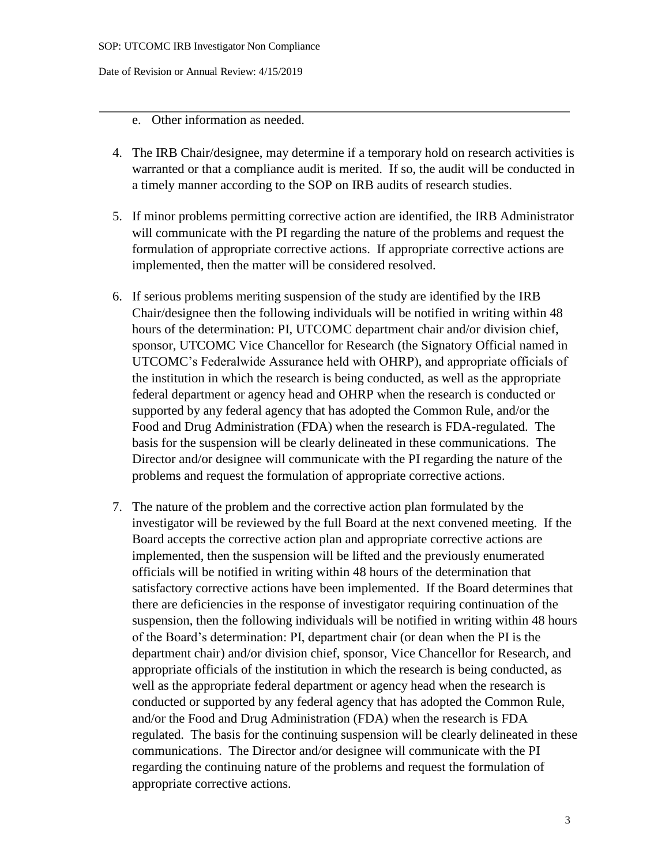- e. Other information as needed.
- 4. The IRB Chair/designee, may determine if a temporary hold on research activities is warranted or that a compliance audit is merited. If so, the audit will be conducted in a timely manner according to the SOP on IRB audits of research studies.
- 5. If minor problems permitting corrective action are identified, the IRB Administrator will communicate with the PI regarding the nature of the problems and request the formulation of appropriate corrective actions. If appropriate corrective actions are implemented, then the matter will be considered resolved.
- 6. If serious problems meriting suspension of the study are identified by the IRB Chair/designee then the following individuals will be notified in writing within 48 hours of the determination: PI, UTCOMC department chair and/or division chief, sponsor, UTCOMC Vice Chancellor for Research (the Signatory Official named in UTCOMC's Federalwide Assurance held with OHRP), and appropriate officials of the institution in which the research is being conducted, as well as the appropriate federal department or agency head and OHRP when the research is conducted or supported by any federal agency that has adopted the Common Rule, and/or the Food and Drug Administration (FDA) when the research is FDA-regulated. The basis for the suspension will be clearly delineated in these communications. The Director and/or designee will communicate with the PI regarding the nature of the problems and request the formulation of appropriate corrective actions.
- 7. The nature of the problem and the corrective action plan formulated by the investigator will be reviewed by the full Board at the next convened meeting. If the Board accepts the corrective action plan and appropriate corrective actions are implemented, then the suspension will be lifted and the previously enumerated officials will be notified in writing within 48 hours of the determination that satisfactory corrective actions have been implemented. If the Board determines that there are deficiencies in the response of investigator requiring continuation of the suspension, then the following individuals will be notified in writing within 48 hours of the Board's determination: PI, department chair (or dean when the PI is the department chair) and/or division chief, sponsor, Vice Chancellor for Research, and appropriate officials of the institution in which the research is being conducted, as well as the appropriate federal department or agency head when the research is conducted or supported by any federal agency that has adopted the Common Rule, and/or the Food and Drug Administration (FDA) when the research is FDA regulated. The basis for the continuing suspension will be clearly delineated in these communications. The Director and/or designee will communicate with the PI regarding the continuing nature of the problems and request the formulation of appropriate corrective actions.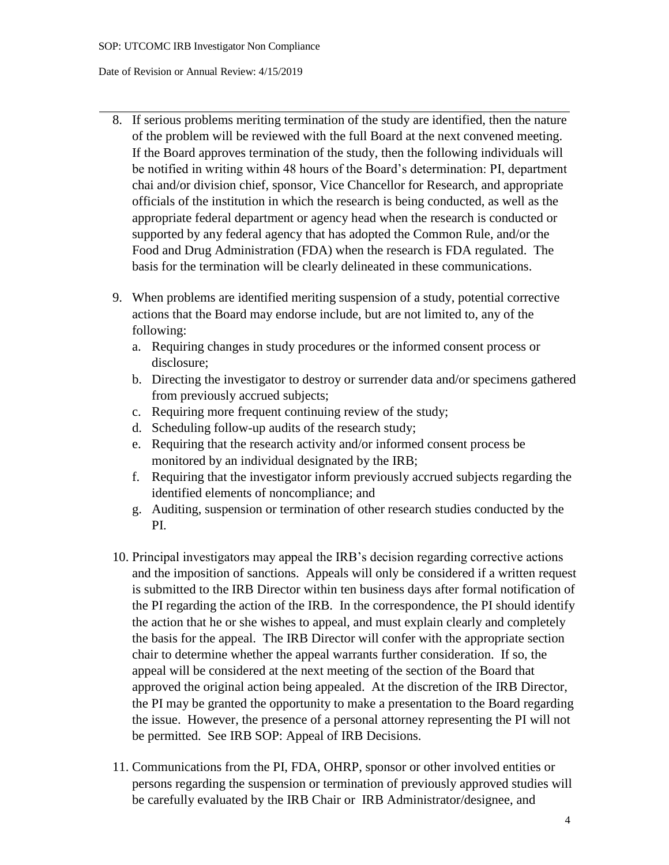- 8. If serious problems meriting termination of the study are identified, then the nature of the problem will be reviewed with the full Board at the next convened meeting. If the Board approves termination of the study, then the following individuals will be notified in writing within 48 hours of the Board's determination: PI, department chai and/or division chief, sponsor, Vice Chancellor for Research, and appropriate officials of the institution in which the research is being conducted, as well as the appropriate federal department or agency head when the research is conducted or supported by any federal agency that has adopted the Common Rule, and/or the Food and Drug Administration (FDA) when the research is FDA regulated. The basis for the termination will be clearly delineated in these communications.
- 9. When problems are identified meriting suspension of a study, potential corrective actions that the Board may endorse include, but are not limited to, any of the following:
	- a. Requiring changes in study procedures or the informed consent process or disclosure;
	- b. Directing the investigator to destroy or surrender data and/or specimens gathered from previously accrued subjects;
	- c. Requiring more frequent continuing review of the study;
	- d. Scheduling follow-up audits of the research study;
	- e. Requiring that the research activity and/or informed consent process be monitored by an individual designated by the IRB;
	- f. Requiring that the investigator inform previously accrued subjects regarding the identified elements of noncompliance; and
	- g. Auditing, suspension or termination of other research studies conducted by the PI.
- 10. Principal investigators may appeal the IRB's decision regarding corrective actions and the imposition of sanctions. Appeals will only be considered if a written request is submitted to the IRB Director within ten business days after formal notification of the PI regarding the action of the IRB. In the correspondence, the PI should identify the action that he or she wishes to appeal, and must explain clearly and completely the basis for the appeal. The IRB Director will confer with the appropriate section chair to determine whether the appeal warrants further consideration. If so, the appeal will be considered at the next meeting of the section of the Board that approved the original action being appealed. At the discretion of the IRB Director, the PI may be granted the opportunity to make a presentation to the Board regarding the issue. However, the presence of a personal attorney representing the PI will not be permitted. See IRB SOP: Appeal of IRB Decisions.
- 11. Communications from the PI, FDA, OHRP, sponsor or other involved entities or persons regarding the suspension or termination of previously approved studies will be carefully evaluated by the IRB Chair or IRB Administrator/designee, and